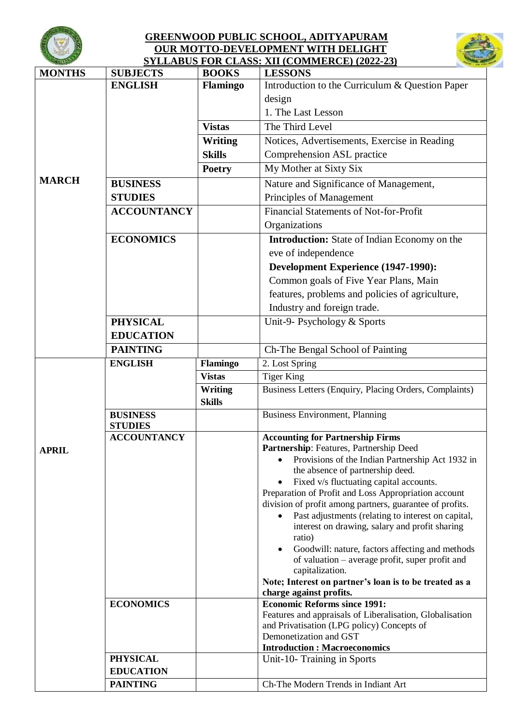

## **GREENWOOD PUBLIC SCHOOL, ADITYAPURAM OUR MOTTO-DEVELOPMENT WITH DELIGHT SYLLABUS FOR CLASS: XII (COMMERCE) (2022-23)**



| $\sim$ $\sim$ |                    |                 | <u>STEERDOS FOR CEASS. AH (COMMERCE) (2022-23)</u>                                                   |
|---------------|--------------------|-----------------|------------------------------------------------------------------------------------------------------|
| <b>MONTHS</b> | <b>SUBJECTS</b>    | <b>BOOKS</b>    | <b>LESSONS</b>                                                                                       |
|               | <b>ENGLISH</b>     | <b>Flamingo</b> | Introduction to the Curriculum & Question Paper                                                      |
|               |                    |                 | design                                                                                               |
|               |                    |                 | 1. The Last Lesson                                                                                   |
|               |                    | <b>Vistas</b>   | The Third Level                                                                                      |
|               |                    | Writing         | Notices, Advertisements, Exercise in Reading                                                         |
|               |                    | <b>Skills</b>   | Comprehension ASL practice                                                                           |
|               |                    | <b>Poetry</b>   | My Mother at Sixty Six                                                                               |
| <b>MARCH</b>  | <b>BUSINESS</b>    |                 | Nature and Significance of Management,                                                               |
|               | <b>STUDIES</b>     |                 | Principles of Management                                                                             |
|               | <b>ACCOUNTANCY</b> |                 | <b>Financial Statements of Not-for-Profit</b>                                                        |
|               |                    |                 | Organizations                                                                                        |
|               | <b>ECONOMICS</b>   |                 | <b>Introduction:</b> State of Indian Economy on the                                                  |
|               |                    |                 | eve of independence                                                                                  |
|               |                    |                 | Development Experience (1947-1990):                                                                  |
|               |                    |                 | Common goals of Five Year Plans, Main                                                                |
|               |                    |                 | features, problems and policies of agriculture,                                                      |
|               |                    |                 | Industry and foreign trade.                                                                          |
|               | <b>PHYSICAL</b>    |                 | Unit-9- Psychology & Sports                                                                          |
|               | <b>EDUCATION</b>   |                 |                                                                                                      |
|               | <b>PAINTING</b>    |                 | Ch-The Bengal School of Painting                                                                     |
|               | <b>ENGLISH</b>     | Flamingo        | 2. Lost Spring                                                                                       |
|               |                    | <b>Vistas</b>   | <b>Tiger King</b>                                                                                    |
|               |                    | Writing         | Business Letters (Enquiry, Placing Orders, Complaints)                                               |
|               |                    | <b>Skills</b>   |                                                                                                      |
|               | <b>BUSINESS</b>    |                 | <b>Business Environment, Planning</b>                                                                |
|               | <b>STUDIES</b>     |                 |                                                                                                      |
|               | <b>ACCOUNTANCY</b> |                 | <b>Accounting for Partnership Firms</b>                                                              |
| <b>APRIL</b>  |                    |                 | Partnership: Features, Partnership Deed                                                              |
|               |                    |                 | Provisions of the Indian Partnership Act 1932 in<br>the absence of partnership deed.                 |
|               |                    |                 | Fixed v/s fluctuating capital accounts.                                                              |
|               |                    |                 | Preparation of Profit and Loss Appropriation account                                                 |
|               |                    |                 | division of profit among partners, guarantee of profits.                                             |
|               |                    |                 | Past adjustments (relating to interest on capital,<br>interest on drawing, salary and profit sharing |
|               |                    |                 | ratio)                                                                                               |
|               |                    |                 | Goodwill: nature, factors affecting and methods                                                      |
|               |                    |                 | of valuation – average profit, super profit and                                                      |
|               |                    |                 | capitalization.<br>Note; Interest on partner's loan is to be treated as a                            |
|               |                    |                 | charge against profits.                                                                              |
|               | <b>ECONOMICS</b>   |                 | <b>Economic Reforms since 1991:</b>                                                                  |
|               |                    |                 | Features and appraisals of Liberalisation, Globalisation                                             |
|               |                    |                 | and Privatisation (LPG policy) Concepts of                                                           |
|               |                    |                 | Demonetization and GST                                                                               |
|               |                    |                 | <b>Introduction : Macroeconomics</b>                                                                 |
|               | <b>PHYSICAL</b>    |                 | Unit-10- Training in Sports                                                                          |
|               | <b>EDUCATION</b>   |                 | Ch-The Modern Trends in Indiant Art                                                                  |
|               | <b>PAINTING</b>    |                 |                                                                                                      |